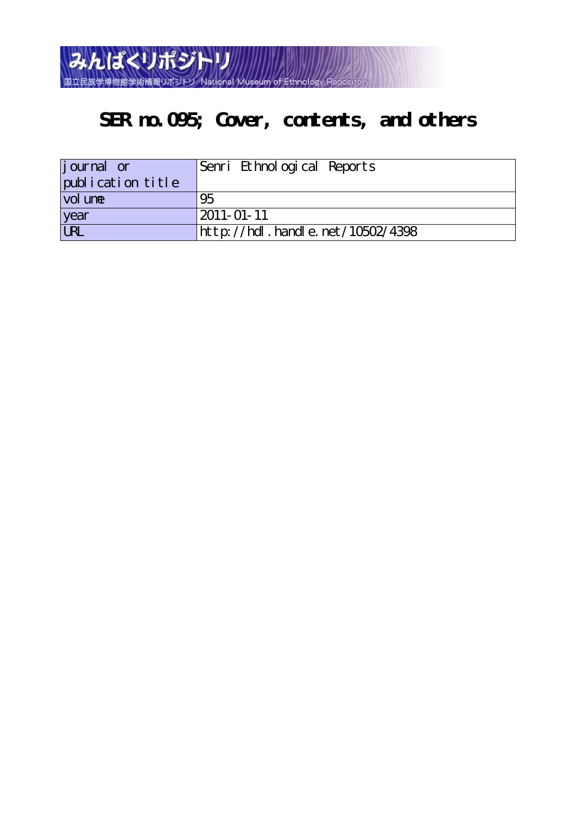

## **SER no.095; Cover, contents, and others**

| journal or        | Senri Ethnological Reports       |
|-------------------|----------------------------------|
| publication title |                                  |
| vol une           | 95                               |
| year              | $2011 - 01 - 11$                 |
| URL               | http://hdl.handle.net/10502/4398 |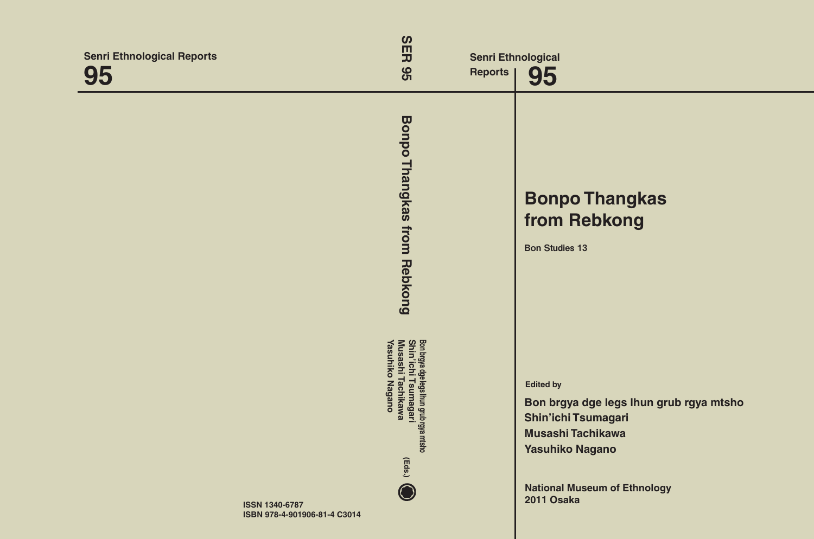| <b>Senri Ethnological Reports</b><br>95 | $\boldsymbol{\omega}$<br>円<br>95                                                                                  | <b>Reports</b> | <b>Senri Ethnological</b><br>95                                                                                                                                                                      |
|-----------------------------------------|-------------------------------------------------------------------------------------------------------------------|----------------|------------------------------------------------------------------------------------------------------------------------------------------------------------------------------------------------------|
|                                         | <b>Bonpo</b><br><b>Thangkas</b><br>from<br>Rebkong                                                                |                | <b>Bonpo Thangkas</b><br>from Rebkong<br><b>Bon Studies 13</b>                                                                                                                                       |
|                                         | Bon brgya dge legs lhun grub rgya mtsho<br>Shin'ichi Tsurmagari<br>Musashi Tachikawa<br>Yasuhiko Nagano<br>(Eds.) |                | <b>Edited by</b><br>Bon brgya dge legs Ihun grub rgya mtsho<br><b>Shin'ichi Tsumagari</b><br><b>Musashi Tachikawa</b><br><b>Yasuhiko Nagano</b><br><b>National Museum of Ethnology</b><br>2011 Osaka |
| <b>ISSN 1340-6787</b>                   | ISBN 978-4-901906-81-4 C3014                                                                                      |                |                                                                                                                                                                                                      |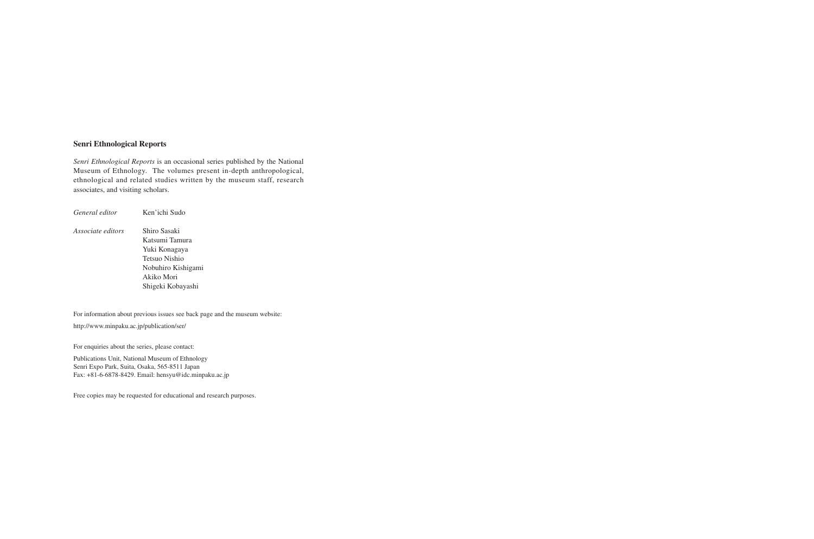## **Senri Ethnological Reports**

*Senri Ethnological Reports* is an occasional series published by the National Museum of Ethnology. The volumes present in-depth anthropological, ethnological and related studies written by the museum staff, research associates, and visiting scholars.

*General editor* Ken'ichi Sudo *Associate editors* Shiro Sasaki Katsumi Tamura Yuki Konagaya Tetsuo Nishio Nobuhiro Kishigami Akiko Mori Shigeki Kobayashi

For information about previous issues see back page and the museum website:

http://www.minpaku.ac.jp/publication/ser/

For enquiries about the series, please contact:

Publications Unit, National Museum of Ethnology Senri Expo Park, Suita, Osaka, 565-8511 Japan Fax: +81-6-6878-8429. Email: hensyu@idc.minpaku.ac.jp

Free copies may be requested for educational and research purposes.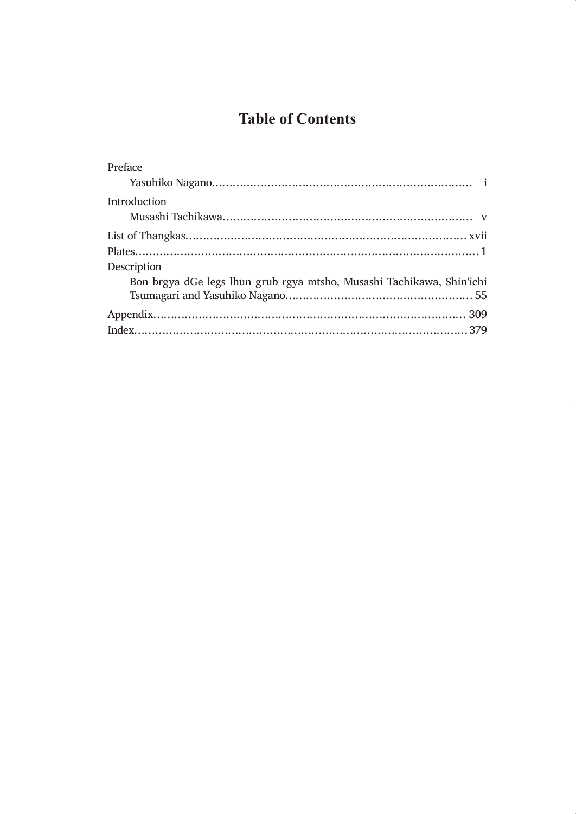| Preface                                                               |
|-----------------------------------------------------------------------|
|                                                                       |
| Introduction                                                          |
|                                                                       |
|                                                                       |
|                                                                       |
| Description                                                           |
| Bon brgya dGe legs lhun grub rgya mtsho, Musashi Tachikawa, Shin'ichi |
|                                                                       |
|                                                                       |